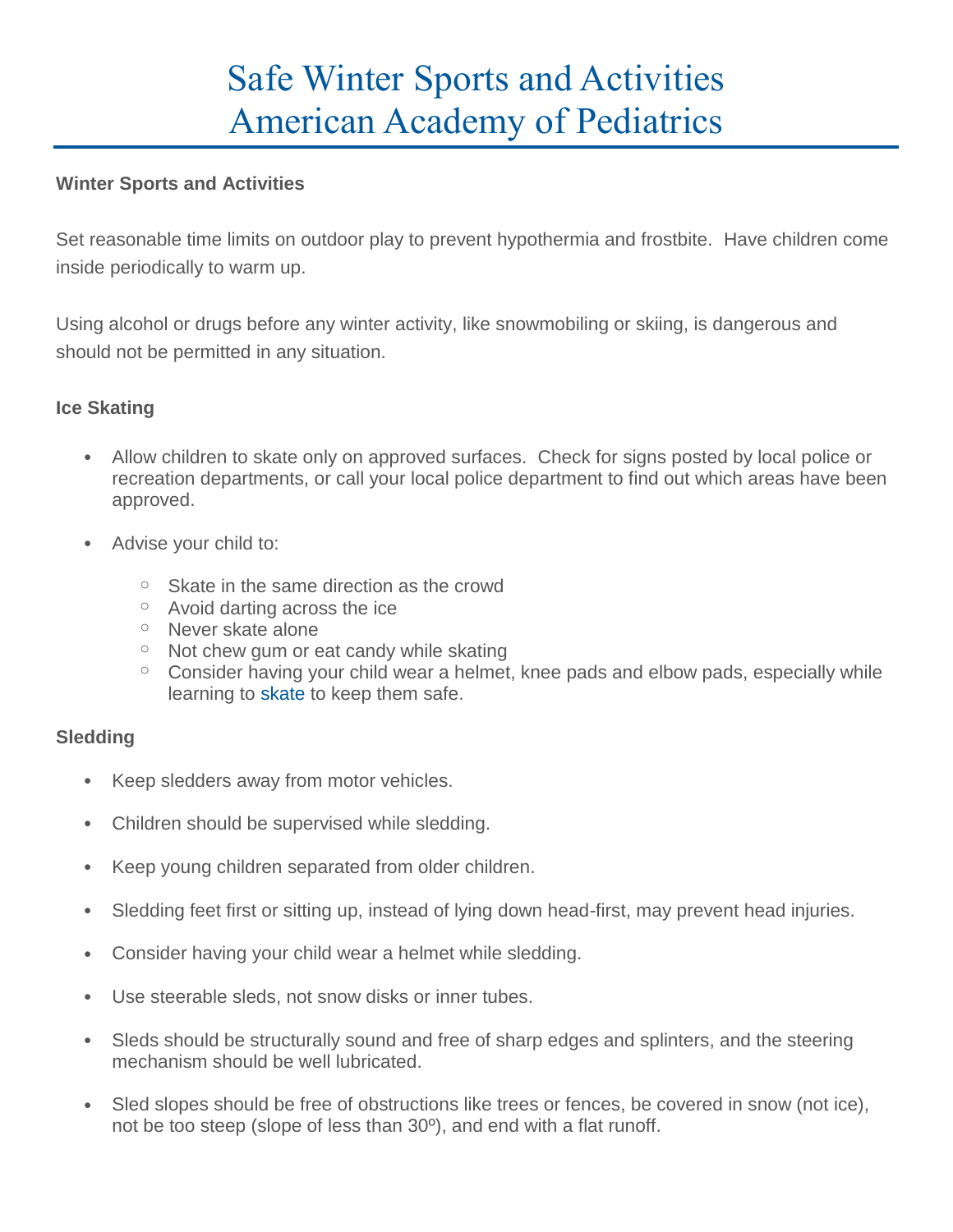# Safe Winter Sports and Activities American Academy of Pediatrics

## **Winter Sports and Activities**

Set reasonable time limits on outdoor play to prevent hypothermia and frostbite. Have children come inside periodically to warm up.

Using alcohol or drugs before any winter activity, like snowmobiling or skiing, is dangerous and should not be permitted in any situation.

## **Ice Skating**

- Allow children to skate only on approved surfaces. Check for signs posted by local police or recreation departments, or call your local police department to find out which areas have been approved.
- Advise your child to:
	- $\circ$  Skate in the same direction as the crowd
	- o Avoid darting across the ice
	- o Never skate alone
	- $\circ$  Not chew gum or eat candy while skating
	- $\circ$  Consider having your child wear a helmet, knee pads and elbow pads, especially while learning to [skate](https://www.healthychildren.org/English/healthy-living/sports/Pages/Figure-Skating.aspx) to keep them safe.

## **Sledding**

- Keep sledders away from motor vehicles.
- Children should be supervised while sledding.
- Keep young children separated from older children.
- Sledding feet first or sitting up, instead of lying down head-first, may prevent head injuries.
- Consider having your child wear a helmet while sledding.
- Use steerable sleds, not snow disks or inner tubes.
- Sleds should be structurally sound and free of sharp edges and splinters, and the steering mechanism should be well lubricated.
- Sled slopes should be free of obstructions like trees or fences, be covered in snow (not ice), not be too steep (slope of less than 30º), and end with a flat runoff.